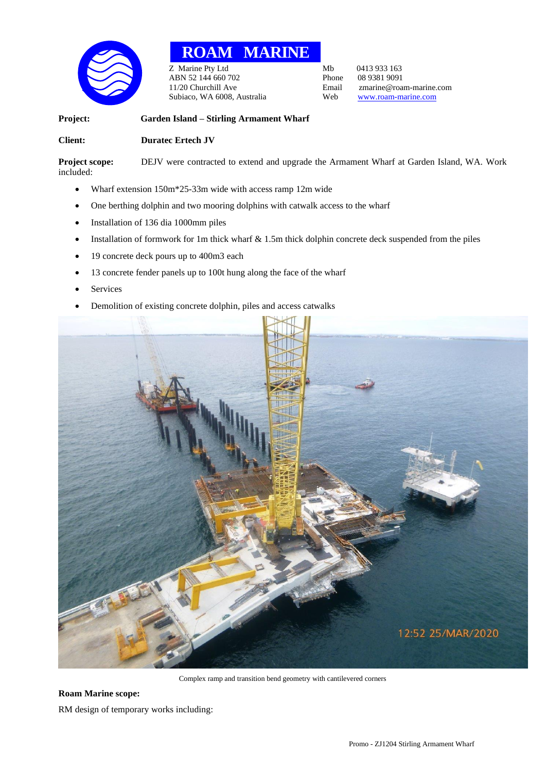

## **ROAM MARINE**

Z Marine Pty Ltd<br>
ABN 52 144 660 702<br>
Phone 08 9381 9091 ABN 52 144 660 702 Phone<br>11/20 Churchill Ave Email Subiaco, WA 6008, Australia Web [www.roam-marine.com](http://www.roam-marine.com/)

Email zmarine@roam-marine.com<br>Web www.roam-marine.com

## **Project: Garden Island – Stirling Armament Wharf**

## **Client: Duratec Ertech JV**

**Project scope:** DEJV were contracted to extend and upgrade the Armament Wharf at Garden Island, WA. Work included:

- Wharf extension 150m\*25-33m wide with access ramp 12m wide
- One berthing dolphin and two mooring dolphins with catwalk access to the wharf
- Installation of 136 dia 1000mm piles
- Installation of formwork for 1m thick wharf  $& 1.5m$  thick dolphin concrete deck suspended from the piles
- 19 concrete deck pours up to 400m3 each
- 13 concrete fender panels up to 100t hung along the face of the wharf
- **Services**
- Demolition of existing concrete dolphin, piles and access catwalks



Complex ramp and transition bend geometry with cantilevered corners

## **Roam Marine scope:**

RM design of temporary works including: